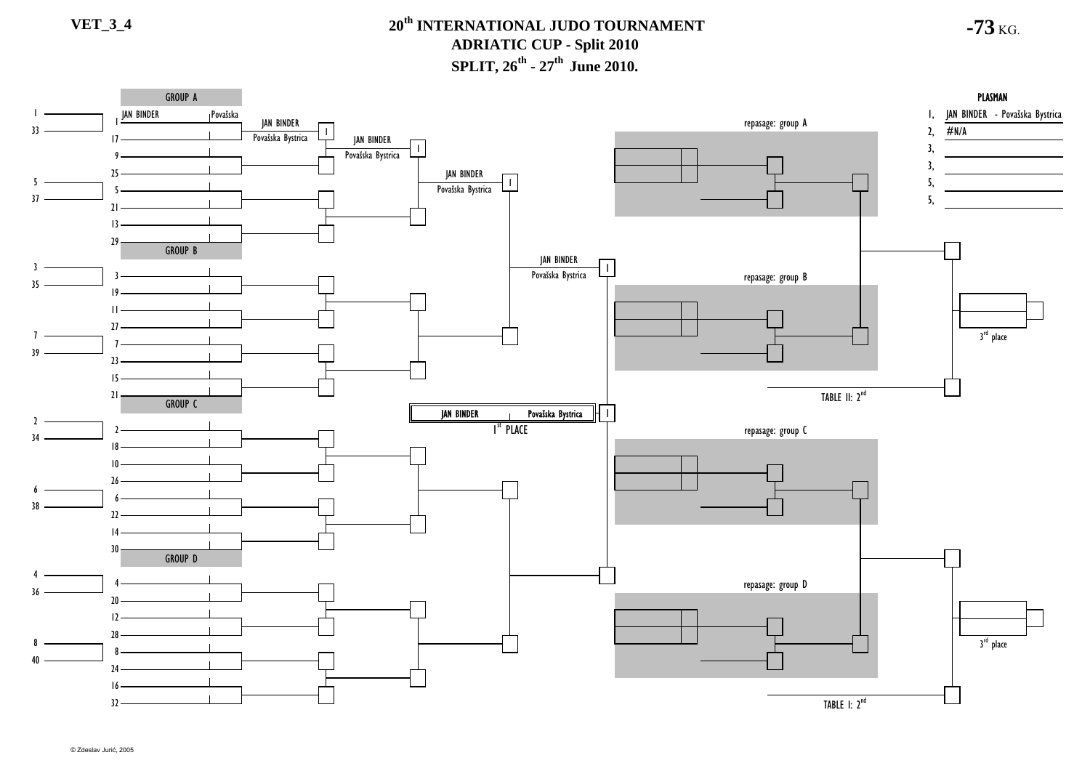**-73** KG.

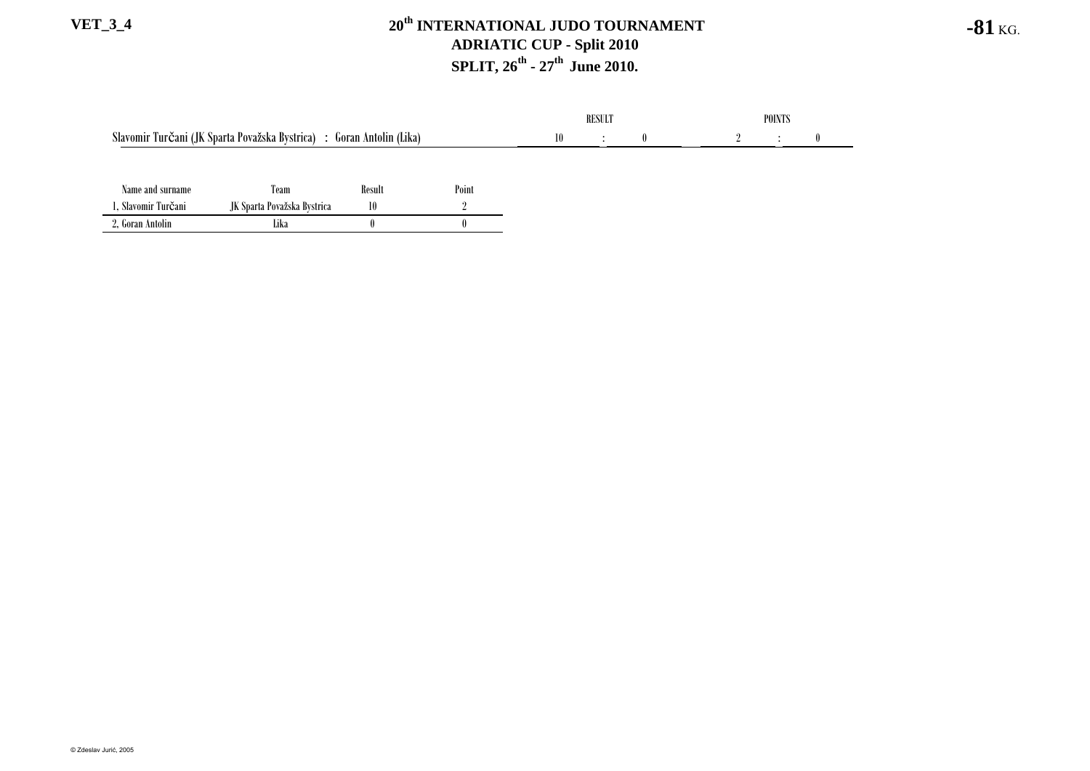|                                                                          |                             |        |       | <b>RESULT</b> |           |  | <b>POINTS</b> |  |  |  |
|--------------------------------------------------------------------------|-----------------------------|--------|-------|---------------|-----------|--|---------------|--|--|--|
| Slavomir Turčani (JK Sparta Považska Bystrica)<br>: Goran Antolin (Lika) |                             |        |       |               | $\bullet$ |  |               |  |  |  |
|                                                                          |                             |        |       |               |           |  |               |  |  |  |
| Name and surname                                                         | Team                        | Result | Point |               |           |  |               |  |  |  |
| , Slavomir Turčani                                                       | JK Sparta Považska Bystrica | 10     |       |               |           |  |               |  |  |  |
| 2, Goran Antolin                                                         | Lika                        |        |       |               |           |  |               |  |  |  |

**-81** KG.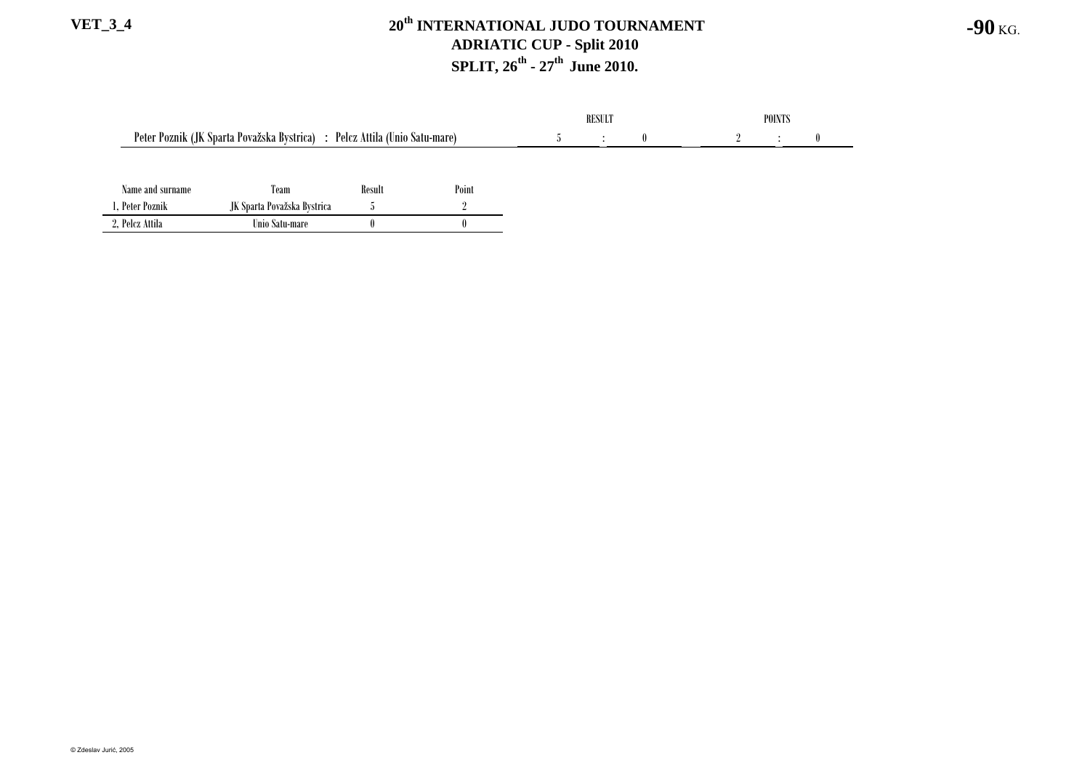|                                                                            |                             |        |       | RESULT |  |  | <b>POINTS</b> |  |  |  |
|----------------------------------------------------------------------------|-----------------------------|--------|-------|--------|--|--|---------------|--|--|--|
| Peter Poznik (JK Sparta Považska Bystrica) : Pelcz Attila (Unio Satu-mare) |                             |        | -0    |        |  |  |               |  |  |  |
|                                                                            |                             |        |       |        |  |  |               |  |  |  |
| Name and surname                                                           | Team                        | Result | Point |        |  |  |               |  |  |  |
| . Peter Poznik                                                             | JK Sparta Považska Bystrica |        |       |        |  |  |               |  |  |  |

2, Pelcz Attila Unio Satu-mare 0 0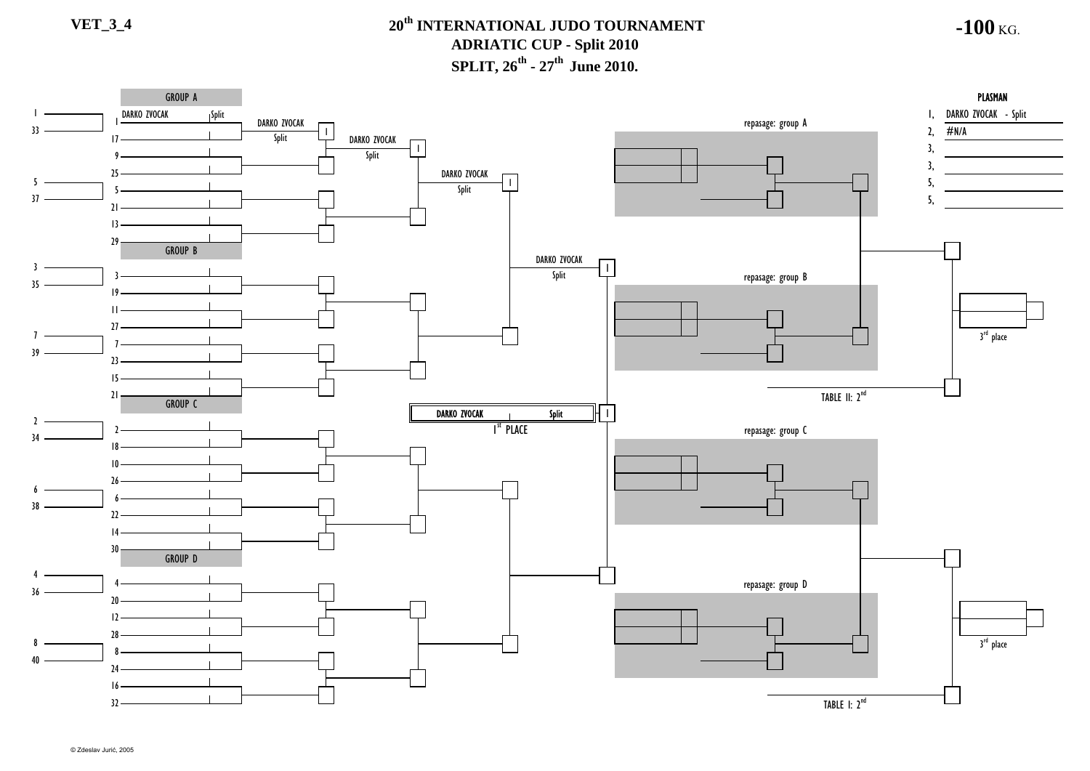**-100** KG.

GROUP A**PLASMAN** A DISPONSIVA PLASMAN PLASMAN DISPONSIVA PROGRESSIVA PROGRESSIVA PROGRESSIVA PROGRESSIVA PROGRESSIVA PROGRESSIVA PROGRESSIVA PROGRESSIVA PROGRESSIVA PROGRESSIVA PROGRESSIVA PROGRESSIVA PROGRESSIVA PROGRESSIVA PROGRESSIVA PR 1, DARKO ZVOCAK - Split Split DARKO ZVOCAK repasage: group <sup>A</sup> 2, DARKO ZVOCAK 33#N/ASplit  $17 -$ DARKO ZVOCAK 3, 1Split 93, 25DARKO ZVOCAK 5 $\mathbf{I}$ 5, Split 537 5,  $21 -$ 1329 GROUP B DARKO ZVOCAK 3Split repasage: group B 35  $10 -$ 11 $27$ 3<sup>rd</sup> place 7739 $\overline{2}$ 15TABLE II: 2<sup>nd</sup> 21 GROUP CSplit DARKO ZVOCAK 1 $\mathcal{L}$ repasage: group C I<sup>st</sup> Place າ 341810266638  $\mathcal{V}$ 1430GROUP D 4repasage: group D 436  $20<sub>2</sub>$ 12283<sup>rd</sup> place 884024 16TABLE I: 2<sup>nd</sup> 32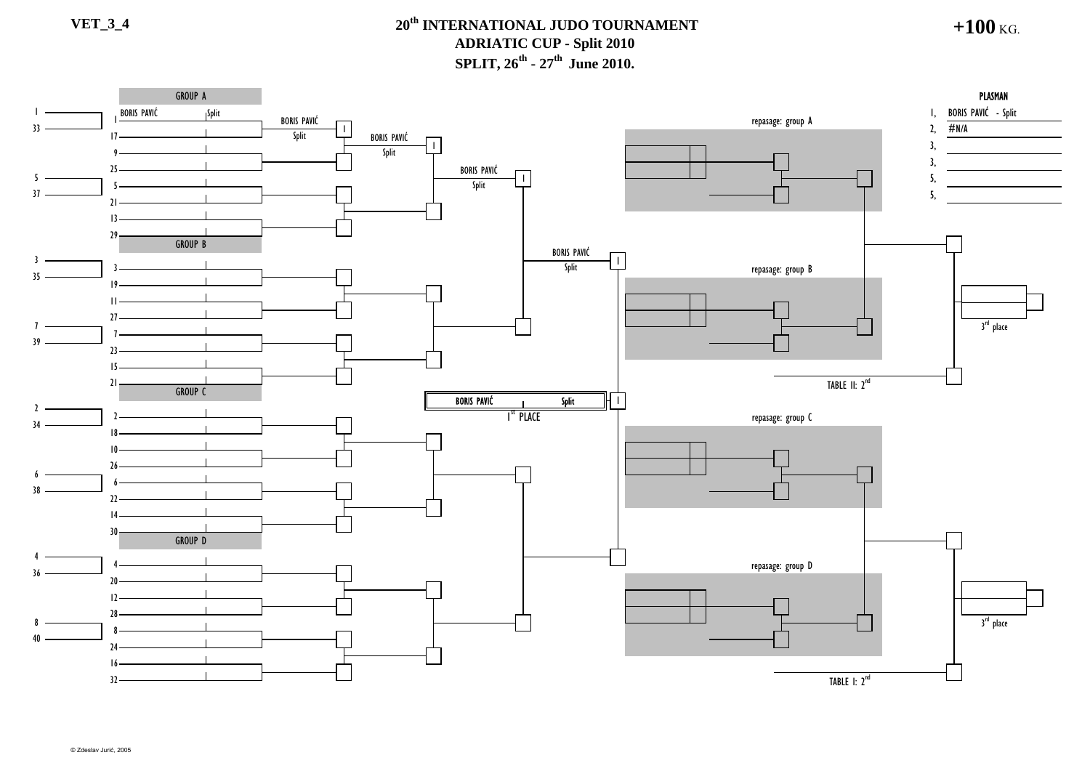### **VET\_3\_4 20th INTERNATIONAL JUDO TOURNAMENT ADRIATIC CUP - Split 2010 SPLIT, 26<sup>th</sup> - 27<sup>th</sup> June 2010.**

**+100** KG.

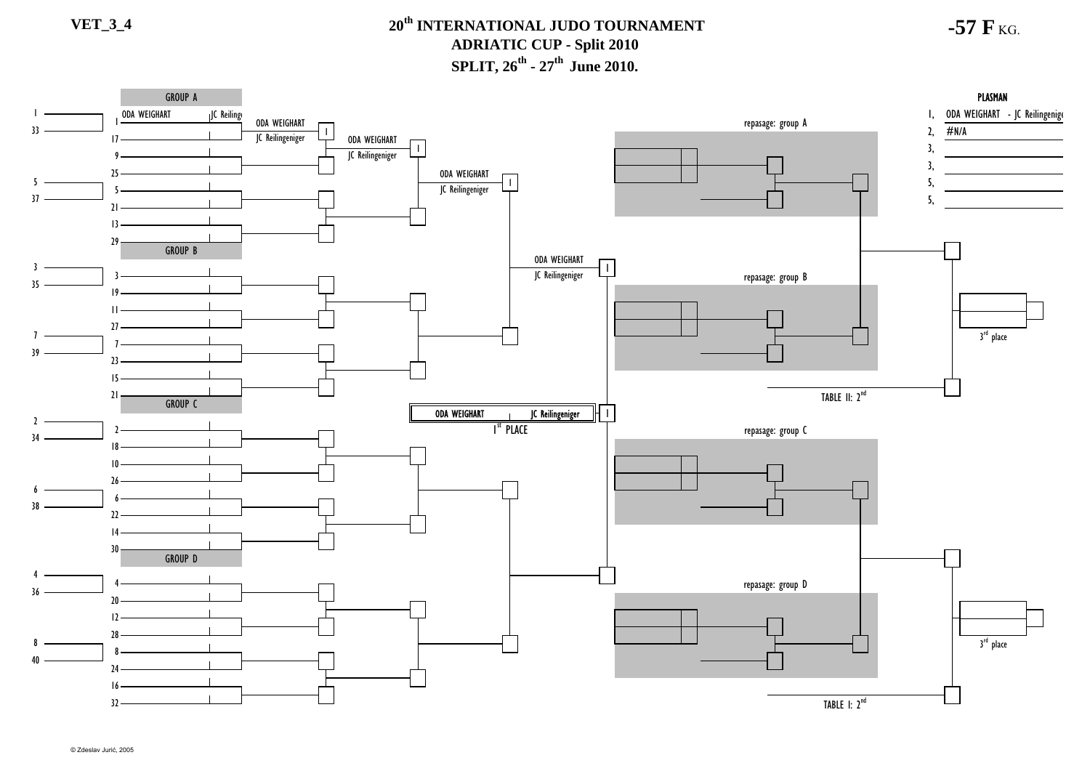## **VET\_3\_4 20th INTERNATIONAL JUDO TOURNAMENTADRIATIC CUP - Split 2010 SPLIT, 26<sup>th</sup> - 27<sup>th</sup> June 2010.**

**-57 F** KG.

#### GROUP A PLASMAN JC Reilinge ODA WEIGHART - JC Reilingenige 1, ODA WEIGHART repasage: group A ODA WEIGHART 33 $2,$  #N/A JC Reilingeniger ODA WEIGHART $17 -$ 3, 1JC Reilingeniger 93, 25ODA WEIGHART 5 $\mathbf{L}$ 5, JC Reilingeniger 537 5,  $21 -$ 1329GROUP B ODA WEIGHART 3IC Reilingeniger repasage: group B 35  $10 -$ 11 $27$ 3<sup>rd</sup> place 7739 $23 -$ 15TABLE II: 2<sup>nd</sup> 21 GROUP CJC Reilingeniger ODA WEIGHART 1 $\mathcal{L}$ repasage: group C I<sup>st</sup> Place າ 341810266638  $\mathcal{V}$ 1430GROUP D 4repasage: group D 436  $20<sub>2</sub>$ 12283<sup>rd</sup> place 8840 $74-$ 16TABLE I: 2<sup>nd</sup> 32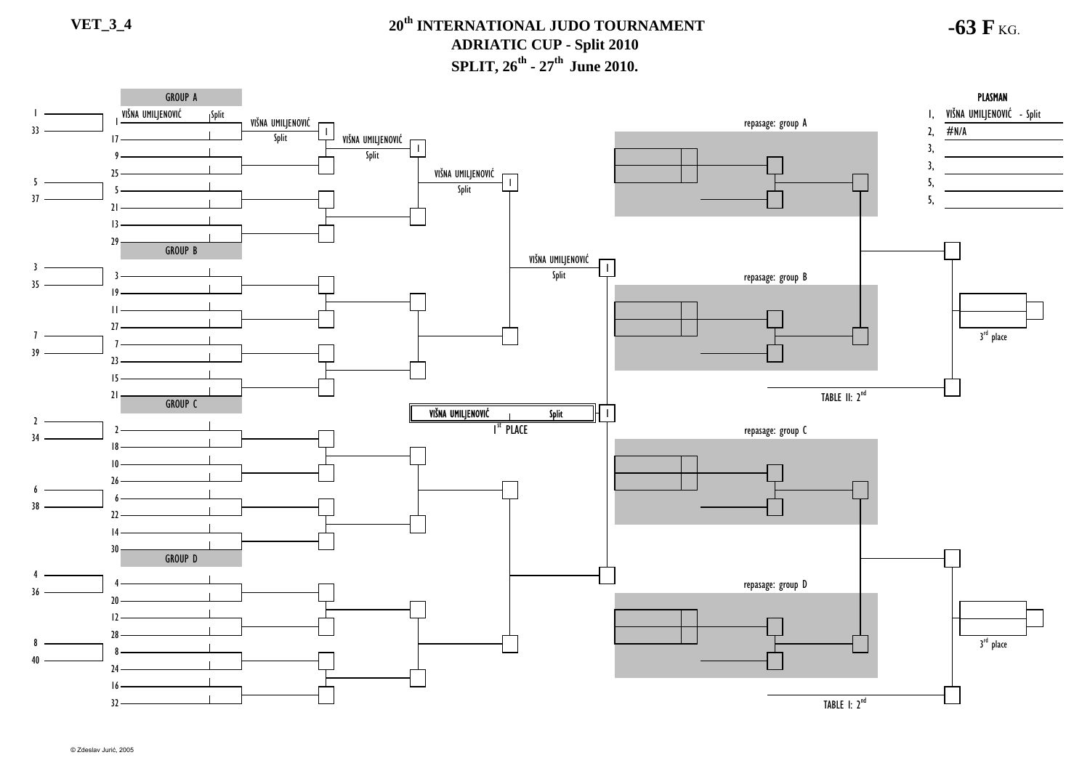**-63 F** KG.

#### **PLASMAN** GROUP AA DISPONSIVA PLASMAN PLASMAN DISPONSIVA PROGRESSIVA PROGRESSIVA PROGRESSIVA PROGRESSIVA PROGRESSIVA PROGRESSIVA PROGRESSIVA PROGRESSIVA PROGRESSIVA PROGRESSIVA PROGRESSIVA PROGRESSIVA PROGRESSIVA PROGRESSIVA PROGRESSIVA PR Split VIŠNA UMILJENOVIĆ 1, VIŠNA UMILJENOVIĆ - Split VIŠNA UMILJENOVIĆ  $r$ epasage: group A  $\overline{2}$ 33#N/A VIŠNA UMILJENOVI<sup>Ć</sup>  $17 -$ 3, 1Split 93, VIŠNA UMILJENOVIĆ 255 $\mathbf{I}$ 5, Split 537 5,  $21 -$ 1329GROUP B VIŠNA UMILJENOVIĆ 3Split repasage: group B 35  $10 -$ 11 $27$ 3<sup>rd</sup> place 7739 $23 -$ 15TABLE II: 2<sup>nd</sup> 21 GROUP CVIŠNA UMILJENOVIĆ Split 1 $\mathcal{L}$ repasage: group C I<sup>st</sup> Place າ 341810266638  $\mathcal{D}$ 1430GROUP D 4repasage: group D 436  $20<sub>2</sub>$ 12283<sup>rd</sup> place 8840 $74-$ 16TABLE I: 2<sup>nd</sup> 32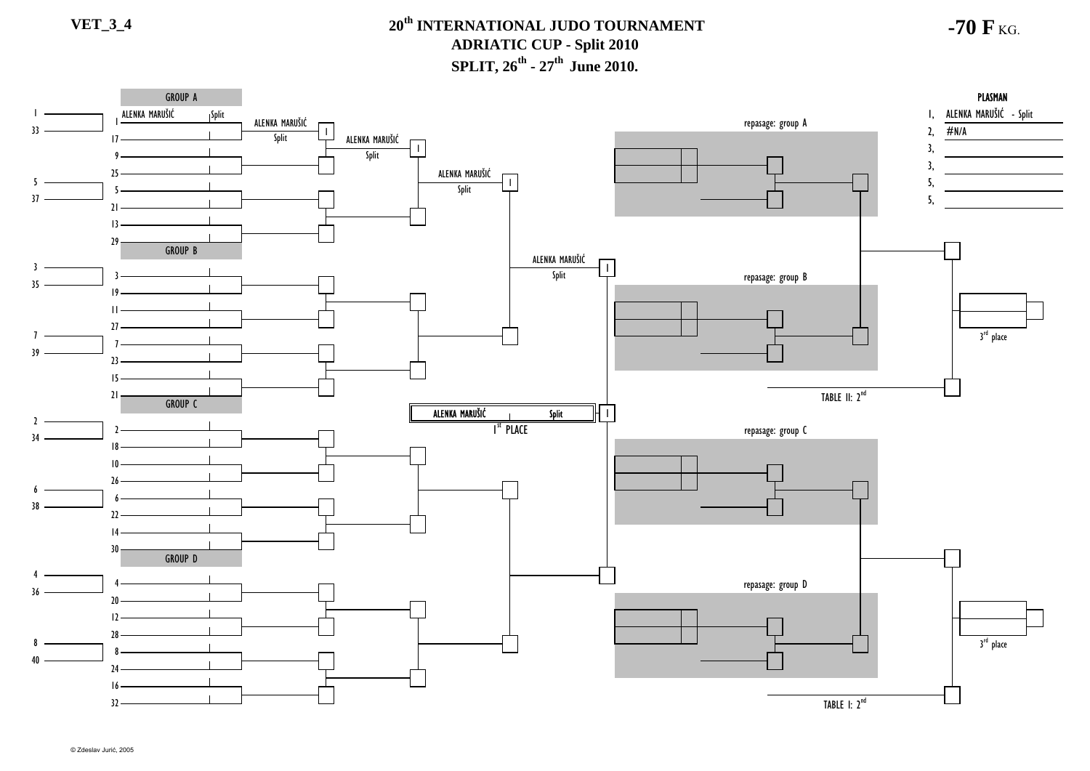**-70 F** KG.

#### **PLASMAN** GROUP AA DISPONSIVA PLASMAN PLASMAN DISPONSIVA PROGRESSIVA PROGRESSIVA PROGRESSIVA PROGRESSIVA PROGRESSIVA PROGRESSIVA PROGRESSIVA PROGRESSIVA PROGRESSIVA PROGRESSIVA PROGRESSIVA PROGRESSIVA PROGRESSIVA PROGRESSIVA PROGRESSIVA PR Split ALENKA MARUŠIĆ 1, ALENKA MARUŠIĆ - Split repasage: group <sup>A</sup> 2, ALENKA MARUŠIĆ 33#N/AALENKA MARUŠIĆSplit  $17 -$ 3, 1Split 93, ALENKA MARUŠIĆ 255 $\mathbf{I}$ 5, Split 537 5,  $21 -$ 1329 GROUP B ALENKA MARUŠIĆ 3Split repasage: group B 35  $10 -$ 11 $27$ 3<sup>rd</sup> place 7739 $\overline{2}$ 15TABLE II: 2<sup>nd</sup> 21 GROUP CSplit ALENKA MARUŠIĆ 1 $\mathcal{L}$ repasage: group C I<sup>st</sup> Place າ 341810266638  $\mathcal{V}$ 1430GROUP D 4repasage: group D 436  $20<sub>2</sub>$ 12283<sup>rd</sup> place 884024 16TABLE I: 2<sup>nd</sup> 32